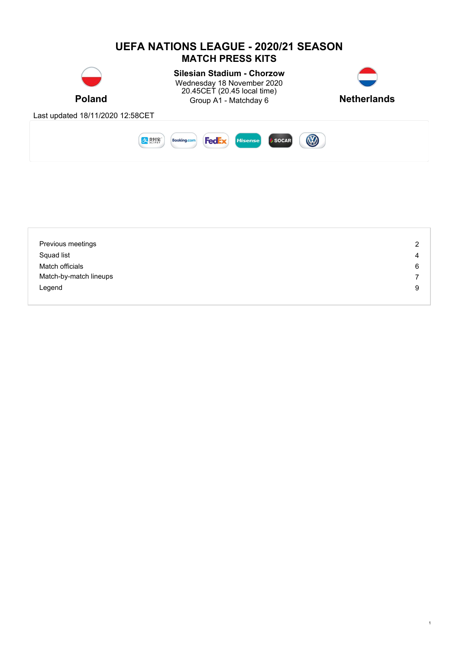

| Previous meetings      | 2 |
|------------------------|---|
| Squad list             | 4 |
| Match officials        | 6 |
| Match-by-match lineups | 7 |
| Legend                 | 9 |
|                        |   |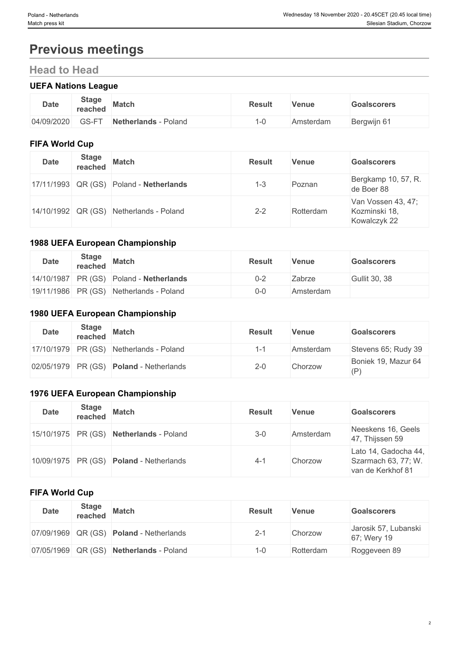# **Previous meetings**

# **Head to Head**

# **UEFA Nations League**

## **FIFA World Cup**

| <b>Date</b> | <b>Stage</b><br>reached | <b>Match</b>                            | <b>Result</b> | <b>Venue</b> | <b>Goalscorers</b>                                  |  |
|-------------|-------------------------|-----------------------------------------|---------------|--------------|-----------------------------------------------------|--|
|             |                         | 17/11/1993 QR (GS) Poland - Netherlands | $1 - 3$       | Poznan       | Bergkamp 10, 57, R.<br>de Boer 88                   |  |
|             |                         | 14/10/1992 QR (GS) Netherlands - Poland | $2 - 2$       | Rotterdam    | Van Vossen 43, 47;<br>Kozminski 18,<br>Kowalczyk 22 |  |

#### **1988 UEFA European Championship**

| <b>Date</b> | <b>Stage</b><br>reached | <b>Match</b>                              | <b>Result</b> | Venue     | <b>Goalscorers</b> |
|-------------|-------------------------|-------------------------------------------|---------------|-----------|--------------------|
|             |                         | $14/10/1987$ PR (GS) Poland - Netherlands | $0 - 2$       | Zabrze    | Gullit 30, 38      |
|             |                         | 19/11/1986 PR (GS) Netherlands - Poland   | $0 - 0$       | Amsterdam |                    |

## **1980 UEFA European Championship**

| <b>Date</b>        | <b>Stage</b><br>reached | <b>Match</b>                              | <b>Result</b> | Venue     | <b>Goalscorers</b>         |
|--------------------|-------------------------|-------------------------------------------|---------------|-----------|----------------------------|
|                    |                         | $17/10/1979$ PR (GS) Netherlands - Poland | ı.,           | Amsterdam | Stevens 65; Rudy 39        |
| 02/05/1979 PR (GS) |                         | <b>Poland</b> - Netherlands               | $2 - 0$       | Chorzow   | Boniek 19, Mazur 64<br>(P) |

# **1976 UEFA European Championship**

| <b>Date</b> | <b>Stage</b><br>reached | <b>Match</b>                                     | <b>Result</b> | <b>Venue</b> | <b>Goalscorers</b>                                               |  |  |  |
|-------------|-------------------------|--------------------------------------------------|---------------|--------------|------------------------------------------------------------------|--|--|--|
|             |                         | $15/10/1975$ PR (GS) Netherlands - Poland        | $3-0$         | Amsterdam    | Neeskens 16, Geels<br>47, Thijssen 59                            |  |  |  |
|             |                         | $10/09/1975$ PR (GS) <b>Poland</b> - Netherlands | $4 - 7$       | Chorzow      | Lato 14, Gadocha 44,<br>Szarmach 63, 77; W.<br>van de Kerkhof 81 |  |  |  |

## **FIFA World Cup**

| <b>Date</b>        | <b>Stage</b><br>reached | <b>Match</b>                                   | <b>Result</b> | <b>Venue</b> | <b>Goalscorers</b>                  |  |
|--------------------|-------------------------|------------------------------------------------|---------------|--------------|-------------------------------------|--|
|                    |                         | 07/09/1969 QR (GS) <b>Poland</b> - Netherlands | 2-1           | Chorzow      | Jarosik 57, Lubanski<br>67; Wery 19 |  |
| 07/05/1969 QR (GS) |                         | Netherlands - Poland                           | 1-0           | Rotterdam    | Roggeveen 89                        |  |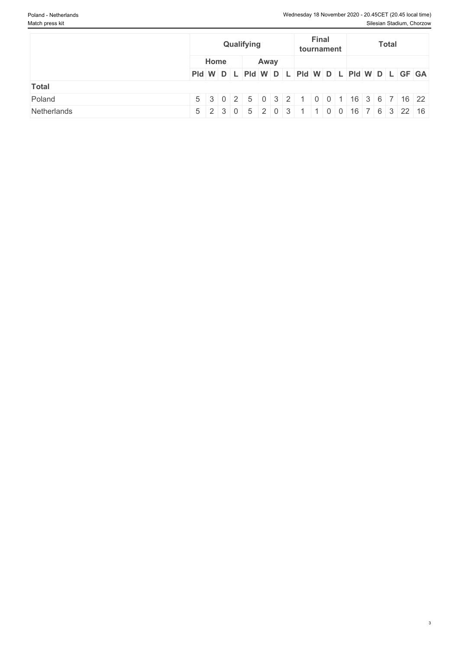|             |      | Qualifying | <b>Final</b><br>tournament |                                                         |  |
|-------------|------|------------|----------------------------|---------------------------------------------------------|--|
|             | Home | Away       |                            |                                                         |  |
|             |      |            |                            | PId W D L PId W D L PId W D L PId W D L PId W D L GF GA |  |
| Total       |      |            |                            |                                                         |  |
| Poland      |      |            |                            | 5 3 0 2 5 0 3 2 1 0 0 1 16 3 6 7 16 22                  |  |
| Netherlands |      |            |                            | 5 2 3 0 5 2 0 3 1 1 0 0 16 7 6 3 22 16                  |  |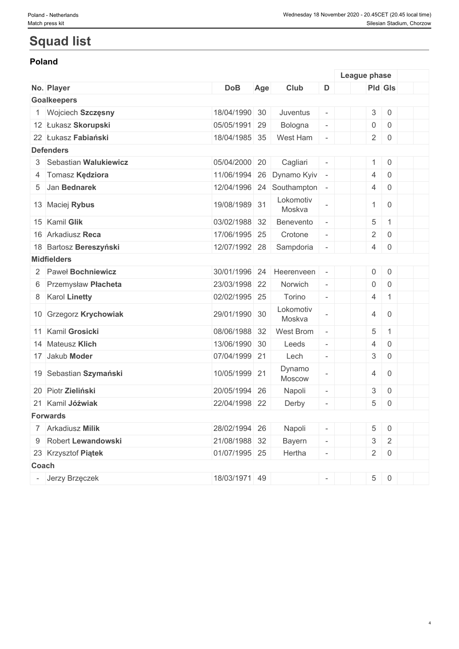# **Squad list**

## **Poland**

|                         |               |     |                             |                          | League phase |                         |                     |  |
|-------------------------|---------------|-----|-----------------------------|--------------------------|--------------|-------------------------|---------------------|--|
| No. Player              | <b>DoB</b>    | Age | Club                        | D                        |              |                         | <b>Pld Gls</b>      |  |
| <b>Goalkeepers</b>      |               |     |                             |                          |              |                         |                     |  |
| Wojciech Szczęsny       | 18/04/1990 30 |     | Juventus                    | $\overline{\phantom{a}}$ |              | $\mathfrak{S}$          | $\mathsf{0}$        |  |
| 12 Łukasz Skorupski     | 05/05/1991 29 |     | Bologna                     | $\overline{\phantom{a}}$ |              | 0                       | $\mathsf{O}$        |  |
| 22 Łukasz Fabiański     | 18/04/1985 35 |     | West Ham                    | $\overline{\phantom{a}}$ |              | 2 <sup>1</sup>          | $\mathsf 0$         |  |
| <b>Defenders</b>        |               |     |                             |                          |              |                         |                     |  |
| 3 Sebastian Walukiewicz | 05/04/2000 20 |     | Cagliari                    | $\overline{\phantom{a}}$ |              | 1                       | $\mathsf 0$         |  |
| 4 Tomasz Kędziora       | 11/06/1994 26 |     | Dynamo Kyiv                 | $\overline{\phantom{a}}$ |              | 4                       | $\mathsf 0$         |  |
| 5 Jan Bednarek          |               |     | 12/04/1996 24 Southampton - |                          |              | 4                       | $\overline{0}$      |  |
| 13 Maciej Rybus         | 19/08/1989 31 |     | Lokomotiv<br>Moskva         |                          |              | $\mathbf{1}$            | $\mathbf 0$         |  |
| 15 Kamil Glik           | 03/02/1988 32 |     | Benevento                   | $\overline{\phantom{a}}$ |              | 5                       | $\mathbf 1$         |  |
| 16 Arkadiusz Reca       | 17/06/1995 25 |     | Crotone                     | $\bar{a}$                |              | $\overline{2}$          | $\mathsf{O}$        |  |
| 18 Bartosz Bereszyński  | 12/07/1992 28 |     | Sampdoria                   | $\overline{\phantom{a}}$ |              | $\overline{4}$          | $\mathsf{O}$        |  |
| <b>Midfielders</b>      |               |     |                             |                          |              |                         |                     |  |
| 2 Paweł Bochniewicz     | 30/01/1996 24 |     | Heerenveen                  | $\overline{\phantom{a}}$ |              | $\overline{0}$          | $\mathsf 0$         |  |
| 6 Przemysław Płacheta   | 23/03/1998 22 |     | Norwich                     | $\equiv$                 |              | $\overline{0}$          | $\mathsf 0$         |  |
| 8 Karol Linetty         | 02/02/1995 25 |     | Torino                      | $\equiv$                 |              | $\overline{4}$          | $\mathbf 1$         |  |
| 10 Grzegorz Krychowiak  | 29/01/1990 30 |     | Lokomotiv<br>Moskva         | $\overline{\phantom{a}}$ |              | 4                       | $\overline{0}$      |  |
| 11 Kamil Grosicki       | 08/06/1988 32 |     | <b>West Brom</b>            | $\overline{\phantom{a}}$ |              | 5                       | $\mathbf{1}$        |  |
| 14 Mateusz Klich        | 13/06/1990 30 |     | Leeds                       | $\overline{\phantom{a}}$ |              | 4                       | $\mathsf{O}\xspace$ |  |
| 17 Jakub Moder          | 07/04/1999 21 |     | Lech                        | $\bar{a}$                |              | 3                       | $\mathsf{O}\xspace$ |  |
| 19 Sebastian Szymański  | 10/05/1999 21 |     | Dynamo<br>Moscow            | $\overline{\phantom{a}}$ |              | 4                       | $\mathbf 0$         |  |
| 20 Piotr Zieliński      | 20/05/1994 26 |     | Napoli                      | $\overline{\phantom{a}}$ |              | 3                       | $\mathsf{O}$        |  |
| 21 Kamil Jóźwiak        | 22/04/1998 22 |     | Derby                       | $\overline{\phantom{a}}$ |              | 5                       | $\mathsf 0$         |  |
| <b>Forwards</b>         |               |     |                             |                          |              |                         |                     |  |
| 7 Arkadiusz Milik       | 28/02/1994 26 |     | Napoli                      | $\overline{\phantom{a}}$ |              | 5                       | $\overline{0}$      |  |
| 9 Robert Lewandowski    | 21/08/1988 32 |     | Bayern                      | $\overline{\phantom{a}}$ |              | $\mathfrak{S}% _{k}(G)$ | $\overline{2}$      |  |
| 23 Krzysztof Piątek     | 01/07/1995 25 |     | Hertha                      |                          |              | $2 \mid$                | $\overline{0}$      |  |
| Coach                   |               |     |                             |                          |              |                         |                     |  |
| Jerzy Brzęczek          | 18/03/1971 49 |     |                             |                          |              | 5 <sup>1</sup>          | $\overline{0}$      |  |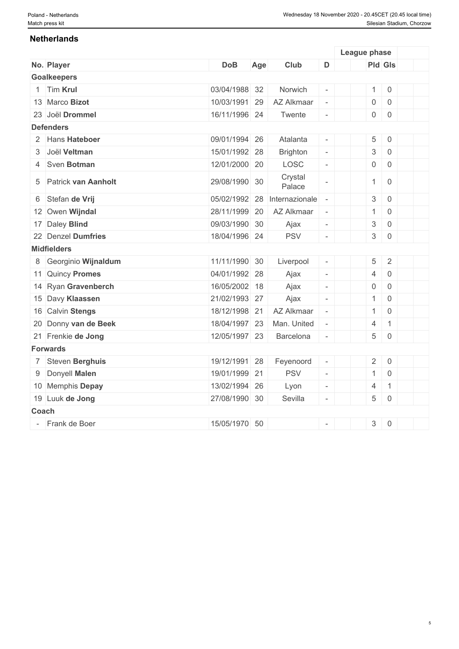### **Netherlands**

|       |                       |               |     |                   |                             | League phase              |                     |  |
|-------|-----------------------|---------------|-----|-------------------|-----------------------------|---------------------------|---------------------|--|
|       | No. Player            | <b>DoB</b>    | Age | Club              | D                           |                           | Pld Gls             |  |
|       | <b>Goalkeepers</b>    |               |     |                   |                             |                           |                     |  |
|       | 1 Tim Krul            | 03/04/1988 32 |     | Norwich           |                             | $\mathbf{1}$              | $\mathbf 0$         |  |
|       | 13 Marco Bizot        | 10/03/1991 29 |     | AZ Alkmaar        | $\omega$                    | $\mathsf{O}\xspace$       | $\mathbf 0$         |  |
|       | 23 Joël Drommel       | 16/11/1996 24 |     | Twente            | $\overline{\phantom{a}}$    | $\mathsf{O}\xspace$       | $\mathbf 0$         |  |
|       | <b>Defenders</b>      |               |     |                   |                             |                           |                     |  |
|       | 2 Hans Hateboer       | 09/01/1994 26 |     | Atalanta          | $\overline{\phantom{a}}$    | 5                         | $\mathsf{O}\xspace$ |  |
|       | 3 Joël Veltman        | 15/01/1992 28 |     | <b>Brighton</b>   | $\mathcal{L}_{\mathcal{A}}$ | $\sqrt{3}$                | $\mathbf 0$         |  |
|       | 4 Sven Botman         | 12/01/2000 20 |     | LOSC              | $\overline{\phantom{a}}$    | $\mathsf{O}\xspace$       | $\mathbf 0$         |  |
|       | 5 Patrick van Aanholt | 29/08/1990 30 |     | Crystal<br>Palace |                             | $\mathbf{1}$              | $\overline{0}$      |  |
|       | 6 Stefan de Vrij      | 05/02/1992 28 |     | Internazionale    | $\bar{a}$                   | $\sqrt{3}$                | $\mathbf 0$         |  |
|       | 12 Owen Wijndal       | 28/11/1999    | 20  | AZ Alkmaar        | $\equiv$                    | $\mathbf{1}$              | $\,0\,$             |  |
|       | 17 Daley Blind        | 09/03/1990 30 |     | Ajax              | $\overline{\phantom{a}}$    | $\ensuremath{\mathsf{3}}$ | $\,0\,$             |  |
|       | 22 Denzel Dumfries    | 18/04/1996 24 |     | <b>PSV</b>        | $\overline{\phantom{a}}$    | $\mathsf 3$               | $\mathbf 0$         |  |
|       | <b>Midfielders</b>    |               |     |                   |                             |                           |                     |  |
|       | 8 Georginio Wijnaldum | 11/11/1990 30 |     | Liverpool         | $\overline{\phantom{a}}$    | 5                         | $\sqrt{2}$          |  |
|       | 11 Quincy Promes      | 04/01/1992 28 |     | Ajax              | $\overline{\phantom{a}}$    | $\overline{4}$            | $\mathbf 0$         |  |
|       | 14 Ryan Gravenberch   | 16/05/2002 18 |     | Ajax              | $\overline{\phantom{a}}$    | $\mathbf 0$               | $\mathbf 0$         |  |
|       | 15 Davy Klaassen      | 21/02/1993 27 |     | Ajax              | $\overline{\phantom{a}}$    | $\mathbf{1}$              | $\mathbf 0$         |  |
|       | 16 Calvin Stengs      | 18/12/1998 21 |     | AZ Alkmaar        | $\omega$                    | $\mathbf{1}$              | $\mathbf 0$         |  |
|       | 20 Donny van de Beek  | 18/04/1997 23 |     | Man. United       |                             | $\overline{4}$            | $\mathbf{1}$        |  |
|       | 21 Frenkie de Jong    | 12/05/1997 23 |     | Barcelona         | $\overline{\phantom{a}}$    | 5                         | $\mathsf{O}\xspace$ |  |
|       | <b>Forwards</b>       |               |     |                   |                             |                           |                     |  |
|       | 7 Steven Berghuis     | 19/12/1991 28 |     | Feyenoord         | $\equiv$                    | $\overline{2}$            | $\overline{0}$      |  |
|       | 9 Donyell Malen       | 19/01/1999 21 |     | <b>PSV</b>        | $\equiv$                    | $\mathbf{1}$              | $\overline{0}$      |  |
|       | 10 Memphis Depay      | 13/02/1994 26 |     | Lyon              | $\overline{\phantom{a}}$    | $\overline{4}$            | $\mathbf{1}$        |  |
|       | 19 Luuk de Jong       | 27/08/1990 30 |     | Sevilla           | $\overline{\phantom{a}}$    | 5                         | $\mathbf 0$         |  |
| Coach |                       |               |     |                   |                             |                           |                     |  |
|       | - Frank de Boer       | 15/05/1970 50 |     |                   | $\overline{\phantom{a}}$    | $\mathfrak{S}$            | $\,0\,$             |  |
|       |                       |               |     |                   |                             |                           |                     |  |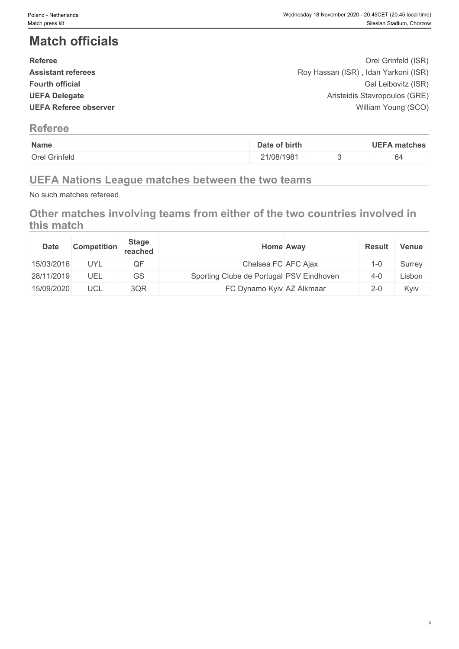# **Match officials**

| <b>Referee</b>               | Orel Grinfeld (ISR)                  |  |
|------------------------------|--------------------------------------|--|
| <b>Assistant referees</b>    | Roy Hassan (ISR), Idan Yarkoni (ISR) |  |
| <b>Fourth official</b>       | Gal Leibovitz (ISR)                  |  |
| <b>UEFA Delegate</b>         | Aristeidis Stavropoulos (GRE)        |  |
| <b>UEFA Referee observer</b> | William Young (SCO)                  |  |
|                              |                                      |  |

# **Referee**

| Name                 | of birth<br>Date | <b>UEFA</b><br>matches         |
|----------------------|------------------|--------------------------------|
| <b>Orel Grinfeld</b> | 1/08/1981        | <sub>04</sub><br>$\sim$ $\sim$ |

# **UEFA Nations League matches between the two teams**

No such matches refereed

# **Other matches involving teams from either of the two countries involved in this match**

| <b>Date</b> | <b>Competition</b> | <b>Stage</b><br>reached | <b>Home Away</b>                         | <b>Result</b> | <b>Venue</b> |
|-------------|--------------------|-------------------------|------------------------------------------|---------------|--------------|
| 15/03/2016  | <b>UYL</b>         | QF                      | Chelsea FC AFC Ajax                      | $-0$          | Surrey       |
| 28/11/2019  | UEL                | GS                      | Sporting Clube de Portugal PSV Eindhoven | $4 - 0$       | Lisbon       |
| 15/09/2020  | UCL                | 3QR                     | FC Dynamo Kyiv AZ Alkmaar                | $2 - 0$       | Kyiv         |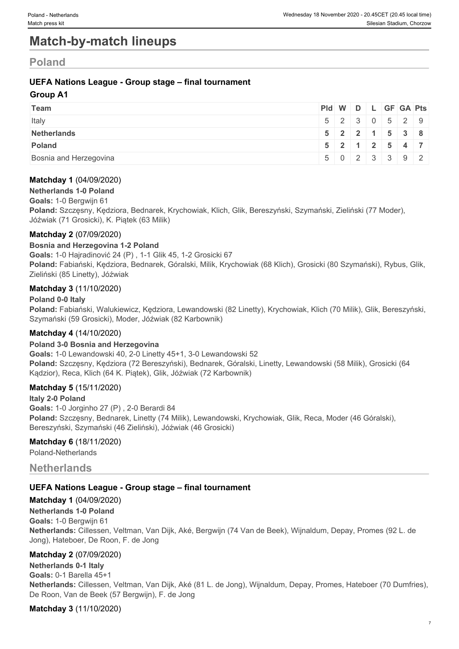# **Match-by-match lineups**

# **Poland**

## **UEFA Nations League - Group stage – final tournament**

### **Group A1**

| <b>Team</b>            | Pid W D L GF GA Pts |  |  |                             |
|------------------------|---------------------|--|--|-----------------------------|
| Italy                  |                     |  |  | 5 2 3 0 5 2 9               |
| Netherlands            |                     |  |  | $5$   2   2   1   5   3   8 |
| Poland                 |                     |  |  | $5$   2   1   2   5   4   7 |
| Bosnia and Herzegovina |                     |  |  | 5023392                     |

#### **Matchday 1** (04/09/2020)

## **Netherlands 1-0 Poland**

**Goals:** 1-0 Bergwijn 61

**Poland:** Szczęsny, Kędziora, Bednarek, Krychowiak, Klich, Glik, Bereszyński, Szymański, Zieliński (77 Moder), Jóźwiak (71 Grosicki), K. Piątek (63 Milik)

#### **Matchday 2** (07/09/2020)

#### **Bosnia and Herzegovina 1-2 Poland**

**Goals:** 1-0 Hajradinović 24 (P) , 1-1 Glik 45, 1-2 Grosicki 67

Poland: Fabiański, Kędziora, Bednarek, Góralski, Milik, Krychowiak (68 Klich), Grosicki (80 Szymański), Rybus, Glik, Zieliński (85 Linetty), Jóźwiak

#### **Matchday 3** (11/10/2020)

#### **Poland 0-0 Italy**

**Poland:** Fabiański, Walukiewicz, Kędziora, Lewandowski (82 Linetty), Krychowiak, Klich (70 Milik), Glik, Bereszyński, Szymański (59 Grosicki), Moder, Jóźwiak (82 Karbownik)

#### **Matchday 4** (14/10/2020)

#### **Poland 3-0 Bosnia and Herzegovina**

**Goals:** 1-0 Lewandowski 40, 2-0 Linetty 45+1, 3-0 Lewandowski 52 **Poland:** Szczęsny, Kędziora (72 Bereszyński), Bednarek, Góralski, Linetty, Lewandowski (58 Milik), Grosicki (64 Kądzior), Reca, Klich (64 K. Piątek), Glik, Jóźwiak (72 Karbownik)

#### **Matchday 5** (15/11/2020)

#### **Italy 2-0 Poland**

**Goals:** 1-0 Jorginho 27 (P) , 2-0 Berardi 84 **Poland:** Szczęsny, Bednarek, Linetty (74 Milik), Lewandowski, Krychowiak, Glik, Reca, Moder (46 Góralski), Bereszyński, Szymański (46 Zieliński), Jóźwiak (46 Grosicki)

#### **Matchday 6** (18/11/2020)

Poland-Netherlands

## **Netherlands**

#### **UEFA Nations League - Group stage – final tournament**

#### **Matchday 1** (04/09/2020)

**Netherlands 1-0 Poland Goals:** 1-0 Bergwijn 61

**Netherlands:** Cillessen, Veltman, Van Dijk, Aké, Bergwijn (74 Van de Beek), Wijnaldum, Depay, Promes (92 L. de Jong), Hateboer, De Roon, F. de Jong

#### **Matchday 2** (07/09/2020)

**Netherlands 0-1 Italy Goals:** 0-1 Barella 45+1 **Netherlands:** Cillessen, Veltman, Van Dijk, Aké (81 L. de Jong), Wijnaldum, Depay, Promes, Hateboer (70 Dumfries), De Roon, Van de Beek (57 Bergwijn), F. de Jong

#### **Matchday 3** (11/10/2020)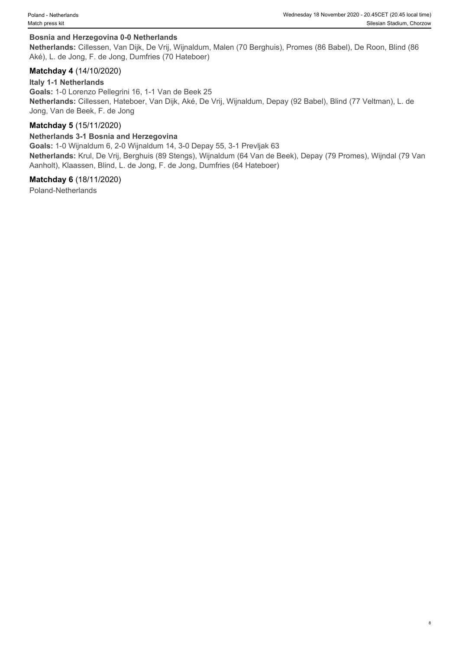#### **Bosnia and Herzegovina 0-0 Netherlands**

**Netherlands:** Cillessen, Van Dijk, De Vrij, Wijnaldum, Malen (70 Berghuis), Promes (86 Babel), De Roon, Blind (86 Aké), L. de Jong, F. de Jong, Dumfries (70 Hateboer)

#### **Matchday 4** (14/10/2020)

#### **Italy 1-1 Netherlands**

**Goals:** 1-0 Lorenzo Pellegrini 16, 1-1 Van de Beek 25 **Netherlands:** Cillessen, Hateboer, Van Dijk, Aké, De Vrij, Wijnaldum, Depay (92 Babel), Blind (77 Veltman), L. de Jong, Van de Beek, F. de Jong

#### **Matchday 5** (15/11/2020)

#### **Netherlands 3-1 Bosnia and Herzegovina**

**Goals:** 1-0 Wijnaldum 6, 2-0 Wijnaldum 14, 3-0 Depay 55, 3-1 Prevljak 63 **Netherlands:** Krul, De Vrij, Berghuis (89 Stengs), Wijnaldum (64 Van de Beek), Depay (79 Promes), Wijndal (79 Van Aanholt), Klaassen, Blind, L. de Jong, F. de Jong, Dumfries (64 Hateboer)

#### **Matchday 6** (18/11/2020)

Poland-Netherlands